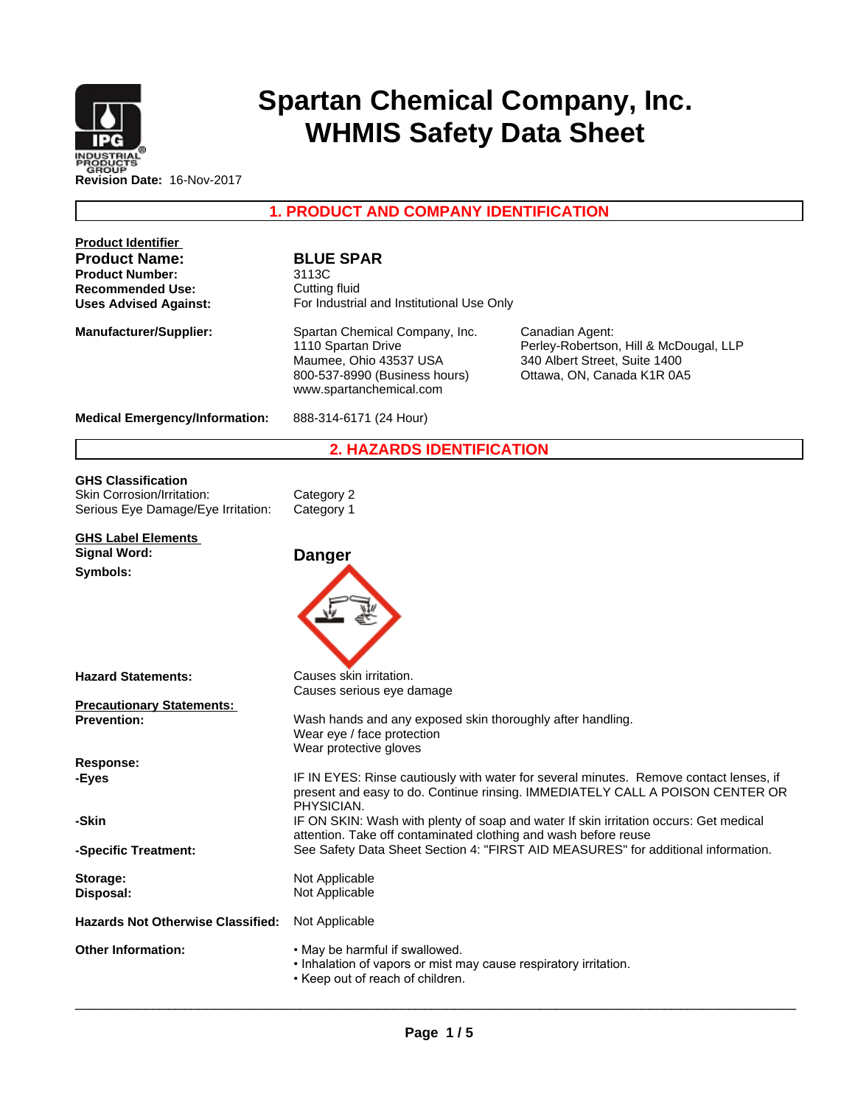

# **Spartan Chemical Company, Inc. WHMIS Safety Data Sheet**

**1. PRODUCT AND COMPANY IDENTIFICATION**

| <b>Product Identifier</b><br><b>Product Name:</b><br><b>Product Number:</b><br><b>Recommended Use:</b><br><b>Uses Advised Against:</b> | <b>BLUE SPAR</b><br>3113C<br>Cutting fluid<br>For Industrial and Institutional Use Only                                                                                               |                                                                                                                          |  |
|----------------------------------------------------------------------------------------------------------------------------------------|---------------------------------------------------------------------------------------------------------------------------------------------------------------------------------------|--------------------------------------------------------------------------------------------------------------------------|--|
| <b>Manufacturer/Supplier:</b>                                                                                                          | Spartan Chemical Company, Inc.<br>1110 Spartan Drive<br>Maumee, Ohio 43537 USA<br>800-537-8990 (Business hours)<br>www.spartanchemical.com                                            | Canadian Agent:<br>Perley-Robertson, Hill & McDougal, LLP<br>340 Albert Street, Suite 1400<br>Ottawa, ON, Canada K1R 0A5 |  |
| <b>Medical Emergency/Information:</b>                                                                                                  | 888-314-6171 (24 Hour)                                                                                                                                                                |                                                                                                                          |  |
|                                                                                                                                        | <b>2. HAZARDS IDENTIFICATION</b>                                                                                                                                                      |                                                                                                                          |  |
| <b>GHS Classification</b><br>Skin Corrosion/Irritation:<br>Serious Eye Damage/Eye Irritation:                                          | Category 2<br>Category 1                                                                                                                                                              |                                                                                                                          |  |
| <b>GHS Label Elements</b><br><b>Signal Word:</b><br>Symbols:                                                                           | <b>Danger</b>                                                                                                                                                                         |                                                                                                                          |  |
| <b>Hazard Statements:</b>                                                                                                              | Causes skin irritation.                                                                                                                                                               |                                                                                                                          |  |
| <b>Precautionary Statements:</b><br><b>Prevention:</b>                                                                                 | Causes serious eye damage<br>Wash hands and any exposed skin thoroughly after handling.<br>Wear eye / face protection                                                                 |                                                                                                                          |  |
| Response:                                                                                                                              | Wear protective gloves                                                                                                                                                                |                                                                                                                          |  |
| -Eyes                                                                                                                                  | IF IN EYES: Rinse cautiously with water for several minutes. Remove contact lenses, if<br>present and easy to do. Continue rinsing. IMMEDIATELY CALL A POISON CENTER OR<br>PHYSICIAN. |                                                                                                                          |  |
| -Skin                                                                                                                                  | attention. Take off contaminated clothing and wash before reuse                                                                                                                       | IF ON SKIN: Wash with plenty of soap and water If skin irritation occurs: Get medical                                    |  |
| -Specific Treatment:                                                                                                                   |                                                                                                                                                                                       | See Safety Data Sheet Section 4: "FIRST AID MEASURES" for additional information.                                        |  |
| Storage:<br>Disposal:                                                                                                                  | Not Applicable<br>Not Applicable                                                                                                                                                      |                                                                                                                          |  |
| <b>Hazards Not Otherwise Classified:</b>                                                                                               | Not Applicable                                                                                                                                                                        |                                                                                                                          |  |
| <b>Other Information:</b>                                                                                                              | . May be harmful if swallowed.<br>• Inhalation of vapors or mist may cause respiratory irritation.<br>• Keep out of reach of children.                                                |                                                                                                                          |  |

 $\overline{\phantom{a}}$  ,  $\overline{\phantom{a}}$  ,  $\overline{\phantom{a}}$  ,  $\overline{\phantom{a}}$  ,  $\overline{\phantom{a}}$  ,  $\overline{\phantom{a}}$  ,  $\overline{\phantom{a}}$  ,  $\overline{\phantom{a}}$  ,  $\overline{\phantom{a}}$  ,  $\overline{\phantom{a}}$  ,  $\overline{\phantom{a}}$  ,  $\overline{\phantom{a}}$  ,  $\overline{\phantom{a}}$  ,  $\overline{\phantom{a}}$  ,  $\overline{\phantom{a}}$  ,  $\overline{\phantom{a}}$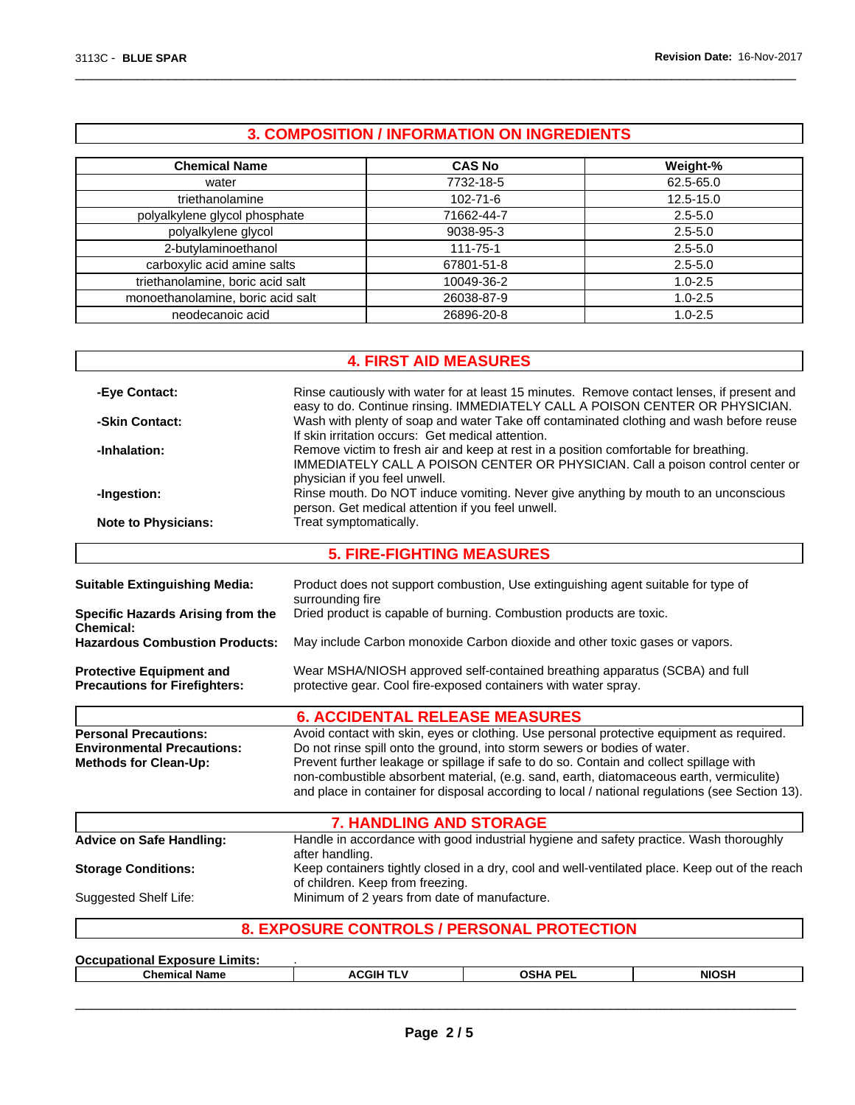## **3. COMPOSITION / INFORMATION ON INGREDIENTS**

 $\overline{\phantom{a}}$  ,  $\overline{\phantom{a}}$  ,  $\overline{\phantom{a}}$  ,  $\overline{\phantom{a}}$  ,  $\overline{\phantom{a}}$  ,  $\overline{\phantom{a}}$  ,  $\overline{\phantom{a}}$  ,  $\overline{\phantom{a}}$  ,  $\overline{\phantom{a}}$  ,  $\overline{\phantom{a}}$  ,  $\overline{\phantom{a}}$  ,  $\overline{\phantom{a}}$  ,  $\overline{\phantom{a}}$  ,  $\overline{\phantom{a}}$  ,  $\overline{\phantom{a}}$  ,  $\overline{\phantom{a}}$ 

| <b>Chemical Name</b>              | <b>CAS No</b>  | Weight-%    |
|-----------------------------------|----------------|-------------|
| water                             | 7732-18-5      | 62.5-65.0   |
| triethanolamine                   | $102 - 71 - 6$ | 12.5-15.0   |
| polyalkylene glycol phosphate     | 71662-44-7     | $2.5 - 5.0$ |
| polyalkylene glycol               | 9038-95-3      | $2.5 - 5.0$ |
| 2-butylaminoethanol               | $111 - 75 - 1$ | $2.5 - 5.0$ |
| carboxylic acid amine salts       | 67801-51-8     | $2.5 - 5.0$ |
| triethanolamine, boric acid salt  | 10049-36-2     | $1.0 - 2.5$ |
| monoethanolamine, boric acid salt | 26038-87-9     | $1.0 - 2.5$ |
| neodecanoic acid                  | 26896-20-8     | $1.0 - 2.5$ |

|                                                                                                   | <b>4. FIRST AID MEASURES</b>                                                                                                                                                                                                                                                                                                                                 |  |  |
|---------------------------------------------------------------------------------------------------|--------------------------------------------------------------------------------------------------------------------------------------------------------------------------------------------------------------------------------------------------------------------------------------------------------------------------------------------------------------|--|--|
| -Eye Contact:                                                                                     | Rinse cautiously with water for at least 15 minutes. Remove contact lenses, if present and<br>easy to do. Continue rinsing. IMMEDIATELY CALL A POISON CENTER OR PHYSICIAN.                                                                                                                                                                                   |  |  |
| -Skin Contact:                                                                                    | Wash with plenty of soap and water Take off contaminated clothing and wash before reuse<br>If skin irritation occurs: Get medical attention.                                                                                                                                                                                                                 |  |  |
| -Inhalation:                                                                                      | Remove victim to fresh air and keep at rest in a position comfortable for breathing.<br>IMMEDIATELY CALL A POISON CENTER OR PHYSICIAN. Call a poison control center or<br>physician if you feel unwell.                                                                                                                                                      |  |  |
| -Ingestion:                                                                                       | Rinse mouth. Do NOT induce vomiting. Never give anything by mouth to an unconscious<br>person. Get medical attention if you feel unwell.                                                                                                                                                                                                                     |  |  |
| <b>Note to Physicians:</b>                                                                        | Treat symptomatically.                                                                                                                                                                                                                                                                                                                                       |  |  |
|                                                                                                   | <b>5. FIRE-FIGHTING MEASURES</b>                                                                                                                                                                                                                                                                                                                             |  |  |
| <b>Suitable Extinguishing Media:</b>                                                              | Product does not support combustion, Use extinguishing agent suitable for type of<br>surrounding fire                                                                                                                                                                                                                                                        |  |  |
| <b>Specific Hazards Arising from the</b><br>Chemical:                                             | Dried product is capable of burning. Combustion products are toxic.                                                                                                                                                                                                                                                                                          |  |  |
| <b>Hazardous Combustion Products:</b>                                                             | May include Carbon monoxide Carbon dioxide and other toxic gases or vapors.                                                                                                                                                                                                                                                                                  |  |  |
| <b>Protective Equipment and</b><br><b>Precautions for Firefighters:</b>                           | Wear MSHA/NIOSH approved self-contained breathing apparatus (SCBA) and full<br>protective gear. Cool fire-exposed containers with water spray.                                                                                                                                                                                                               |  |  |
|                                                                                                   | <b>6. ACCIDENTAL RELEASE MEASURES</b>                                                                                                                                                                                                                                                                                                                        |  |  |
| <b>Personal Precautions:</b><br><b>Environmental Precautions:</b><br><b>Methods for Clean-Up:</b> | Avoid contact with skin, eyes or clothing. Use personal protective equipment as required.<br>Do not rinse spill onto the ground, into storm sewers or bodies of water.<br>Prevent further leakage or spillage if safe to do so. Contain and collect spillage with<br>non-combustible absorbent material, (e.g. sand, earth, diatomaceous earth, vermiculite) |  |  |
|                                                                                                   | and place in container for disposal according to local / national regulations (see Section 13).                                                                                                                                                                                                                                                              |  |  |
|                                                                                                   | <b>7. HANDLING AND STORAGE</b>                                                                                                                                                                                                                                                                                                                               |  |  |
| <b>Advice on Safe Handling:</b>                                                                   | Handle in accordance with good industrial hygiene and safety practice. Wash thoroughly<br>after handling.                                                                                                                                                                                                                                                    |  |  |
| <b>Storage Conditions:</b>                                                                        | Keep containers tightly closed in a dry, cool and well-ventilated place. Keep out of the reach<br>of children. Keep from freezing.                                                                                                                                                                                                                           |  |  |
| Suggested Shelf Life:                                                                             | Minimum of 2 years from date of manufacture.                                                                                                                                                                                                                                                                                                                 |  |  |

### **8. EXPOSURE CONTROLS / PERSONAL PROTECTION**

| Occup<br>_xposure ′<br><b>Limits</b><br>шан |            |                    |       |
|---------------------------------------------|------------|--------------------|-------|
| Chemical<br>' Nam⊾                          | .GIF<br>л. | IA DE.<br>ne.<br>n | NINSL |

 $\overline{\phantom{a}}$  ,  $\overline{\phantom{a}}$  ,  $\overline{\phantom{a}}$  ,  $\overline{\phantom{a}}$  ,  $\overline{\phantom{a}}$  ,  $\overline{\phantom{a}}$  ,  $\overline{\phantom{a}}$  ,  $\overline{\phantom{a}}$  ,  $\overline{\phantom{a}}$  ,  $\overline{\phantom{a}}$  ,  $\overline{\phantom{a}}$  ,  $\overline{\phantom{a}}$  ,  $\overline{\phantom{a}}$  ,  $\overline{\phantom{a}}$  ,  $\overline{\phantom{a}}$  ,  $\overline{\phantom{a}}$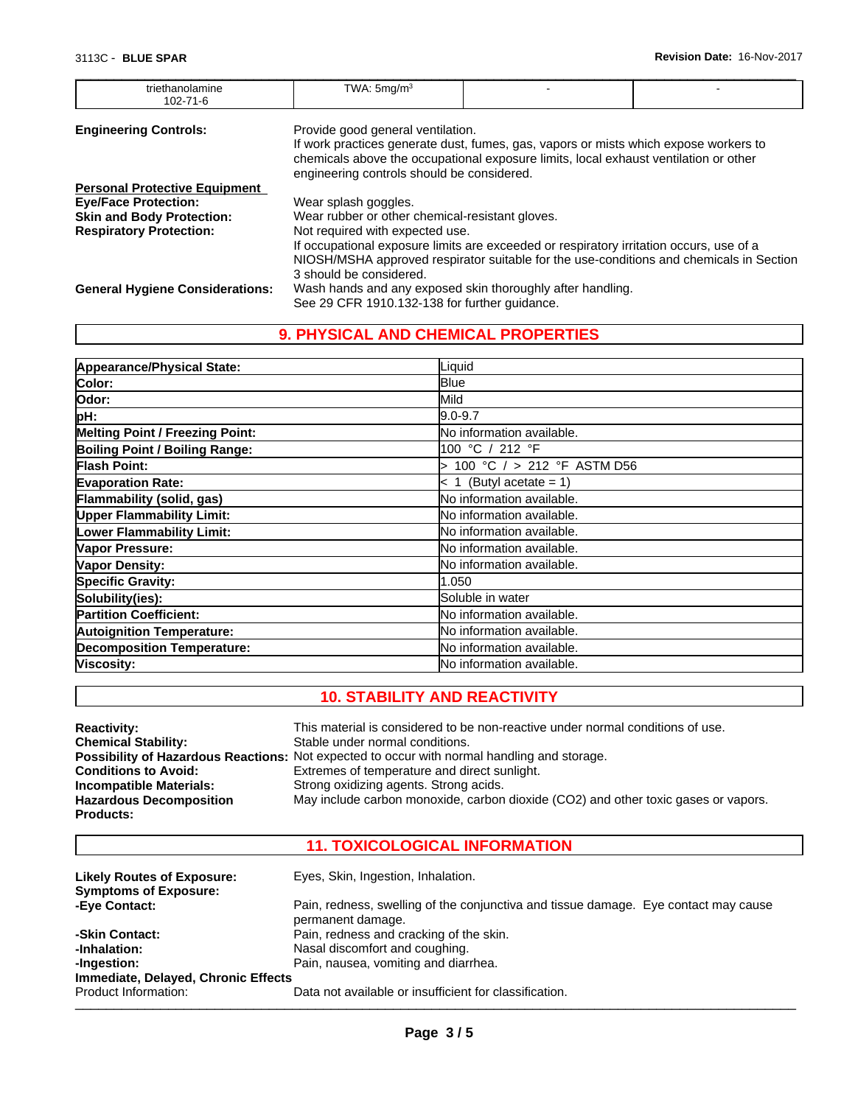| triethanolamine<br>102-71-6            | TWA: $5 \text{mq/m}^3$                          |                                                                                         |  |  |
|----------------------------------------|-------------------------------------------------|-----------------------------------------------------------------------------------------|--|--|
| <b>Engineering Controls:</b>           | Provide good general ventilation.               |                                                                                         |  |  |
|                                        |                                                 | If work practices generate dust, fumes, gas, vapors or mists which expose workers to    |  |  |
|                                        |                                                 | chemicals above the occupational exposure limits, local exhaust ventilation or other    |  |  |
|                                        | engineering controls should be considered.      |                                                                                         |  |  |
| <b>Personal Protective Equipment</b>   |                                                 |                                                                                         |  |  |
| <b>Eye/Face Protection:</b>            | Wear splash goggles.                            |                                                                                         |  |  |
| <b>Skin and Body Protection:</b>       | Wear rubber or other chemical-resistant gloves. |                                                                                         |  |  |
| <b>Respiratory Protection:</b>         | Not required with expected use.                 |                                                                                         |  |  |
|                                        |                                                 | If occupational exposure limits are exceeded or respiratory irritation occurs, use of a |  |  |
|                                        |                                                 | NIOSH/MSHA approved respirator suitable for the use-conditions and chemicals in Section |  |  |
|                                        | 3 should be considered.                         |                                                                                         |  |  |
| <b>General Hygiene Considerations:</b> |                                                 | Wash hands and any exposed skin thoroughly after handling.                              |  |  |
|                                        | See 29 CFR 1910.132-138 for further guidance.   |                                                                                         |  |  |

 $\overline{\phantom{a}}$  ,  $\overline{\phantom{a}}$  ,  $\overline{\phantom{a}}$  ,  $\overline{\phantom{a}}$  ,  $\overline{\phantom{a}}$  ,  $\overline{\phantom{a}}$  ,  $\overline{\phantom{a}}$  ,  $\overline{\phantom{a}}$  ,  $\overline{\phantom{a}}$  ,  $\overline{\phantom{a}}$  ,  $\overline{\phantom{a}}$  ,  $\overline{\phantom{a}}$  ,  $\overline{\phantom{a}}$  ,  $\overline{\phantom{a}}$  ,  $\overline{\phantom{a}}$  ,  $\overline{\phantom{a}}$ 

### **9. PHYSICAL AND CHEMICAL PROPERTIES**

| Appearance/Physical State:             | Liquid                     |
|----------------------------------------|----------------------------|
| Color:                                 | <b>Blue</b>                |
| Odor:                                  | Mild                       |
| pH:                                    | $9.0 - 9.7$                |
| <b>Melting Point / Freezing Point:</b> | No information available.  |
| <b>Boiling Point / Boiling Range:</b>  | 100 °C / 212 °F            |
| <b>Flash Point:</b>                    | 100 °C / > 212 °F ASTM D56 |
| <b>Evaporation Rate:</b>               | $< 1$ (Butyl acetate = 1)  |
| Flammability (solid, gas)              | No information available.  |
| <b>Upper Flammability Limit:</b>       | No information available.  |
| Lower Flammability Limit:              | No information available.  |
| Vapor Pressure:                        | No information available.  |
| Vapor Density:                         | No information available.  |
| Specific Gravity:                      | 1.050                      |
| Solubility(ies):                       | Soluble in water           |
| <b>Partition Coefficient:</b>          | No information available.  |
| <b>Autoignition Temperature:</b>       | No information available.  |
| <b>Decomposition Temperature:</b>      | No information available.  |
| Viscosity:                             | No information available.  |

### **10. STABILITY AND REACTIVITY**

| <b>Reactivity:</b><br><b>Chemical Stability:</b><br><b>Conditions to Avoid:</b><br>Incompatible Materials:<br><b>Hazardous Decomposition</b> | This material is considered to be non-reactive under normal conditions of use.<br>Stable under normal conditions.<br>Possibility of Hazardous Reactions: Not expected to occur with normal handling and storage.<br>Extremes of temperature and direct sunlight.<br>Strong oxidizing agents. Strong acids.<br>May include carbon monoxide, carbon dioxide (CO2) and other toxic gases or vapors. |
|----------------------------------------------------------------------------------------------------------------------------------------------|--------------------------------------------------------------------------------------------------------------------------------------------------------------------------------------------------------------------------------------------------------------------------------------------------------------------------------------------------------------------------------------------------|
| <b>Products:</b>                                                                                                                             |                                                                                                                                                                                                                                                                                                                                                                                                  |

### **11. TOXICOLOGICAL INFORMATION**

| <b>Likely Routes of Exposure:</b><br><b>Symptoms of Exposure:</b> | Eyes, Skin, Ingestion, Inhalation.                                                                       |
|-------------------------------------------------------------------|----------------------------------------------------------------------------------------------------------|
| -Eye Contact:                                                     | Pain, redness, swelling of the conjunctiva and tissue damage. Eye contact may cause<br>permanent damage. |
| -Skin Contact:                                                    | Pain, redness and cracking of the skin.                                                                  |
| -Inhalation:                                                      | Nasal discomfort and coughing.                                                                           |
| -Ingestion:                                                       | Pain, nausea, vomiting and diarrhea.                                                                     |
| Immediate, Delayed, Chronic Effects                               |                                                                                                          |
| Product Information:                                              | Data not available or insufficient for classification.                                                   |
|                                                                   |                                                                                                          |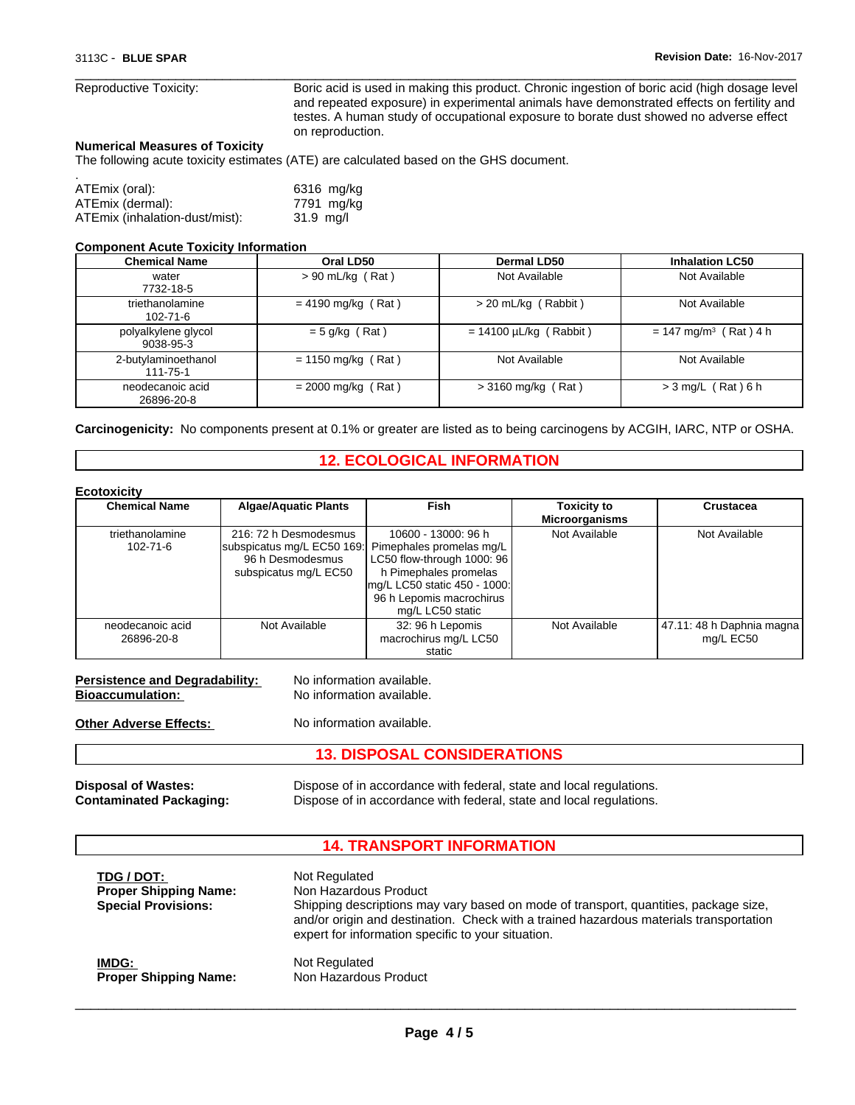Reproductive Toxicity: Boric acid is used in making this product. Chronic ingestion of boric acid (high dosage level and repeated exposure) in experimental animals have demonstrated effects on fertility and testes. A human study of occupational exposure to borate dust showed no adverse effect on reproduction.

 $\overline{\phantom{a}}$  ,  $\overline{\phantom{a}}$  ,  $\overline{\phantom{a}}$  ,  $\overline{\phantom{a}}$  ,  $\overline{\phantom{a}}$  ,  $\overline{\phantom{a}}$  ,  $\overline{\phantom{a}}$  ,  $\overline{\phantom{a}}$  ,  $\overline{\phantom{a}}$  ,  $\overline{\phantom{a}}$  ,  $\overline{\phantom{a}}$  ,  $\overline{\phantom{a}}$  ,  $\overline{\phantom{a}}$  ,  $\overline{\phantom{a}}$  ,  $\overline{\phantom{a}}$  ,  $\overline{\phantom{a}}$ 

#### **Numerical Measures of Toxicity**

The following acute toxicity estimates (ATE) are calculated based on the GHS document.

| ATEmix (oral):                 | 6316 mg/kg |
|--------------------------------|------------|
| ATEmix (dermal):               | 7791 mg/kg |
| ATEmix (inhalation-dust/mist): | 31.9 ma/l  |

#### **Component Acute Toxicity Information**

| <b>Chemical Name</b>              | Oral LD50            | Dermal LD50                 | <b>Inhalation LC50</b>              |
|-----------------------------------|----------------------|-----------------------------|-------------------------------------|
| water<br>7732-18-5                | $> 90$ mL/kg (Rat)   | Not Available               | Not Available                       |
| triethanolamine<br>$102 - 71 - 6$ | $= 4190$ mg/kg (Rat) | > 20 mL/kg (Rabbit)         | Not Available                       |
| polyalkylene glycol<br>9038-95-3  | $= 5$ g/kg (Rat)     | $= 14100 \mu L/kg$ (Rabbit) | $= 147$ mg/m <sup>3</sup> (Rat) 4 h |
| 2-butylaminoethanol<br>111-75-1   | $= 1150$ mg/kg (Rat) | Not Available               | Not Available                       |
| neodecanoic acid<br>26896-20-8    | $= 2000$ mg/kg (Rat) | $>$ 3160 mg/kg (Rat)        | $>$ 3 mg/L (Rat) 6 h                |

**Carcinogenicity:** No components present at 0.1% or greater are listed as to being carcinogens by ACGIH, IARC, NTP or OSHA.

### **12. ECOLOGICAL INFORMATION**

| <b>Ecotoxicity</b>                |                                                                                                  |                                                                                                                                                                                        |                                             |                                          |
|-----------------------------------|--------------------------------------------------------------------------------------------------|----------------------------------------------------------------------------------------------------------------------------------------------------------------------------------------|---------------------------------------------|------------------------------------------|
| <b>Chemical Name</b>              | <b>Algae/Aquatic Plants</b>                                                                      | Fish                                                                                                                                                                                   | <b>Toxicity to</b><br><b>Microorganisms</b> | Crustacea                                |
| triethanolamine<br>$102 - 71 - 6$ | 216: 72 h Desmodesmus<br>subspicatus mg/L EC50 169:<br>96 h Desmodesmus<br>subspicatus mg/L EC50 | 10600 - 13000: 96 h<br>Pimephales promelas mg/L<br>LC50 flow-through 1000: 96<br>h Pimephales promelas<br>mg/L LC50 static 450 - 1000:<br>96 h Lepomis macrochirus<br>mg/L LC50 static | Not Available                               | Not Available                            |
| neodecanoic acid<br>26896-20-8    | Not Available                                                                                    | 32: 96 h Lepomis<br>macrochirus mg/L LC50<br>static                                                                                                                                    | Not Available                               | 47.11: 48 h Daphnia magna l<br>mg/L EC50 |

| <b>Persistence and Degradability:</b> | No information available. |
|---------------------------------------|---------------------------|
| <b>Bioaccumulation:</b>               | No information available. |

**Other Adverse Effects:** No information available.

#### **13. DISPOSAL CONSIDERATIONS**

**Disposal of Wastes:** Dispose of in accordance with federal, state and local regulations. **Contaminated Packaging:** Dispose of in accordance with federal, state and local regulations.

#### **14. TRANSPORT INFORMATION**

expert for information specific to your situation.

**TDG / DOT:** Not Regulated<br> **Proper Shipping Name:** Non Hazardous Product **Proper Shipping Name:** 

**Special Provisions:** Shipping descriptions may vary based on mode of transport, quantities, package size, and/or origin and destination. Check with a trained hazardous materials transportation

 $\overline{\phantom{a}}$  ,  $\overline{\phantom{a}}$  ,  $\overline{\phantom{a}}$  ,  $\overline{\phantom{a}}$  ,  $\overline{\phantom{a}}$  ,  $\overline{\phantom{a}}$  ,  $\overline{\phantom{a}}$  ,  $\overline{\phantom{a}}$  ,  $\overline{\phantom{a}}$  ,  $\overline{\phantom{a}}$  ,  $\overline{\phantom{a}}$  ,  $\overline{\phantom{a}}$  ,  $\overline{\phantom{a}}$  ,  $\overline{\phantom{a}}$  ,  $\overline{\phantom{a}}$  ,  $\overline{\phantom{a}}$ 

**IMDG: Not Regulated**<br> **Proper Shipping Name:** Non Hazardous Product **Proper Shipping Name:**